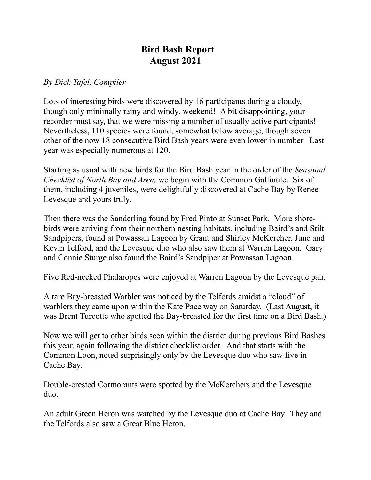## **Bird Bash Report August 2021**

## *By Dick Tafel, Compiler*

Lots of interesting birds were discovered by 16 participants during a cloudy, though only minimally rainy and windy, weekend! A bit disappointing, your recorder must say, that we were missing a number of usually active participants! Nevertheless, 110 species were found, somewhat below average, though seven other of the now 18 consecutive Bird Bash years were even lower in number. Last year was especially numerous at 120.

Starting as usual with new birds for the Bird Bash year in the order of the *Seasonal Checklist of North Bay and Area,* we begin with the Common Gallinule. Six of them, including 4 juveniles, were delightfully discovered at Cache Bay by Renee Levesque and yours truly.

Then there was the Sanderling found by Fred Pinto at Sunset Park. More shorebirds were arriving from their northern nesting habitats, including Baird's and Stilt Sandpipers, found at Powassan Lagoon by Grant and Shirley McKercher, June and Kevin Telford, and the Levesque duo who also saw them at Warren Lagoon. Gary and Connie Sturge also found the Baird's Sandpiper at Powassan Lagoon.

Five Red-necked Phalaropes were enjoyed at Warren Lagoon by the Levesque pair.

A rare Bay-breasted Warbler was noticed by the Telfords amidst a "cloud" of warblers they came upon within the Kate Pace way on Saturday. (Last August, it was Brent Turcotte who spotted the Bay-breasted for the first time on a Bird Bash.)

Now we will get to other birds seen within the district during previous Bird Bashes this year, again following the district checklist order. And that starts with the Common Loon, noted surprisingly only by the Levesque duo who saw five in Cache Bay.

Double-crested Cormorants were spotted by the McKerchers and the Levesque duo.

An adult Green Heron was watched by the Levesque duo at Cache Bay. They and the Telfords also saw a Great Blue Heron.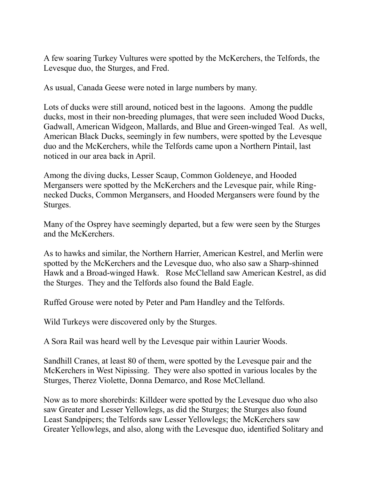A few soaring Turkey Vultures were spotted by the McKerchers, the Telfords, the Levesque duo, the Sturges, and Fred.

As usual, Canada Geese were noted in large numbers by many.

Lots of ducks were still around, noticed best in the lagoons. Among the puddle ducks, most in their non-breeding plumages, that were seen included Wood Ducks, Gadwall, American Widgeon, Mallards, and Blue and Green-winged Teal. As well, American Black Ducks, seemingly in few numbers, were spotted by the Levesque duo and the McKerchers, while the Telfords came upon a Northern Pintail, last noticed in our area back in April.

Among the diving ducks, Lesser Scaup, Common Goldeneye, and Hooded Mergansers were spotted by the McKerchers and the Levesque pair, while Ringnecked Ducks, Common Mergansers, and Hooded Mergansers were found by the Sturges.

Many of the Osprey have seemingly departed, but a few were seen by the Sturges and the McKerchers.

As to hawks and similar, the Northern Harrier, American Kestrel, and Merlin were spotted by the McKerchers and the Levesque duo, who also saw a Sharp-shinned Hawk and a Broad-winged Hawk. Rose McClelland saw American Kestrel, as did the Sturges. They and the Telfords also found the Bald Eagle.

Ruffed Grouse were noted by Peter and Pam Handley and the Telfords.

Wild Turkeys were discovered only by the Sturges.

A Sora Rail was heard well by the Levesque pair within Laurier Woods.

Sandhill Cranes, at least 80 of them, were spotted by the Levesque pair and the McKerchers in West Nipissing. They were also spotted in various locales by the Sturges, Therez Violette, Donna Demarco, and Rose McClelland.

Now as to more shorebirds: Killdeer were spotted by the Levesque duo who also saw Greater and Lesser Yellowlegs, as did the Sturges; the Sturges also found Least Sandpipers; the Telfords saw Lesser Yellowlegs; the McKerchers saw Greater Yellowlegs, and also, along with the Levesque duo, identified Solitary and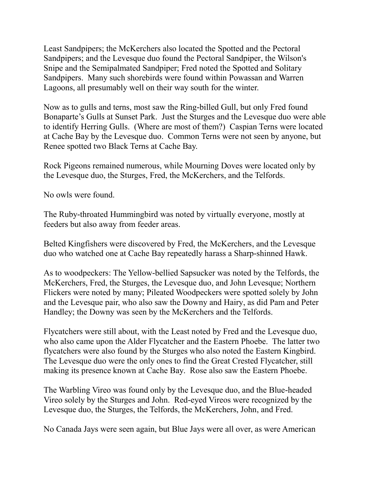Least Sandpipers; the McKerchers also located the Spotted and the Pectoral Sandpipers; and the Levesque duo found the Pectoral Sandpiper, the Wilson's Snipe and the Semipalmated Sandpiper; Fred noted the Spotted and Solitary Sandpipers. Many such shorebirds were found within Powassan and Warren Lagoons, all presumably well on their way south for the winter.

Now as to gulls and terns, most saw the Ring-billed Gull, but only Fred found Bonaparte's Gulls at Sunset Park. Just the Sturges and the Levesque duo were able to identify Herring Gulls. (Where are most of them?) Caspian Terns were located at Cache Bay by the Levesque duo. Common Terns were not seen by anyone, but Renee spotted two Black Terns at Cache Bay.

Rock Pigeons remained numerous, while Mourning Doves were located only by the Levesque duo, the Sturges, Fred, the McKerchers, and the Telfords.

No owls were found.

The Ruby-throated Hummingbird was noted by virtually everyone, mostly at feeders but also away from feeder areas.

Belted Kingfishers were discovered by Fred, the McKerchers, and the Levesque duo who watched one at Cache Bay repeatedly harass a Sharp-shinned Hawk.

As to woodpeckers: The Yellow-bellied Sapsucker was noted by the Telfords, the McKerchers, Fred, the Sturges, the Levesque duo, and John Levesque; Northern Flickers were noted by many; Pileated Woodpeckers were spotted solely by John and the Levesque pair, who also saw the Downy and Hairy, as did Pam and Peter Handley; the Downy was seen by the McKerchers and the Telfords.

Flycatchers were still about, with the Least noted by Fred and the Levesque duo, who also came upon the Alder Flycatcher and the Eastern Phoebe. The latter two flycatchers were also found by the Sturges who also noted the Eastern Kingbird. The Levesque duo were the only ones to find the Great Crested Flycatcher, still making its presence known at Cache Bay. Rose also saw the Eastern Phoebe.

The Warbling Vireo was found only by the Levesque duo, and the Blue-headed Vireo solely by the Sturges and John. Red-eyed Vireos were recognized by the Levesque duo, the Sturges, the Telfords, the McKerchers, John, and Fred.

No Canada Jays were seen again, but Blue Jays were all over, as were American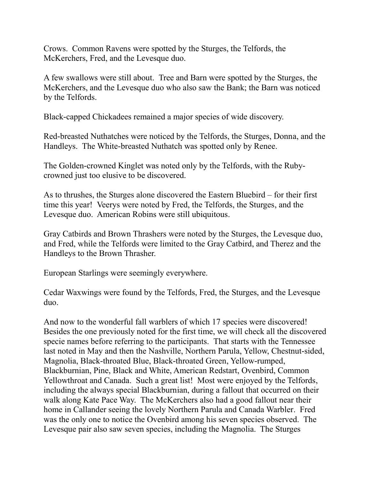Crows. Common Ravens were spotted by the Sturges, the Telfords, the McKerchers, Fred, and the Levesque duo.

A few swallows were still about. Tree and Barn were spotted by the Sturges, the McKerchers, and the Levesque duo who also saw the Bank; the Barn was noticed by the Telfords.

Black-capped Chickadees remained a major species of wide discovery.

Red-breasted Nuthatches were noticed by the Telfords, the Sturges, Donna, and the Handleys. The White-breasted Nuthatch was spotted only by Renee.

The Golden-crowned Kinglet was noted only by the Telfords, with the Rubycrowned just too elusive to be discovered.

As to thrushes, the Sturges alone discovered the Eastern Bluebird – for their first time this year! Veerys were noted by Fred, the Telfords, the Sturges, and the Levesque duo. American Robins were still ubiquitous.

Gray Catbirds and Brown Thrashers were noted by the Sturges, the Levesque duo, and Fred, while the Telfords were limited to the Gray Catbird, and Therez and the Handleys to the Brown Thrasher.

European Starlings were seemingly everywhere.

Cedar Waxwings were found by the Telfords, Fred, the Sturges, and the Levesque duo.

And now to the wonderful fall warblers of which 17 species were discovered! Besides the one previously noted for the first time, we will check all the discovered specie names before referring to the participants. That starts with the Tennessee last noted in May and then the Nashville, Northern Parula, Yellow, Chestnut-sided, Magnolia, Black-throated Blue, Black-throated Green, Yellow-rumped, Blackburnian, Pine, Black and White, American Redstart, Ovenbird, Common Yellowthroat and Canada. Such a great list! Most were enjoyed by the Telfords, including the always special Blackburnian, during a fallout that occurred on their walk along Kate Pace Way. The McKerchers also had a good fallout near their home in Callander seeing the lovely Northern Parula and Canada Warbler. Fred was the only one to notice the Ovenbird among his seven species observed. The Levesque pair also saw seven species, including the Magnolia. The Sturges